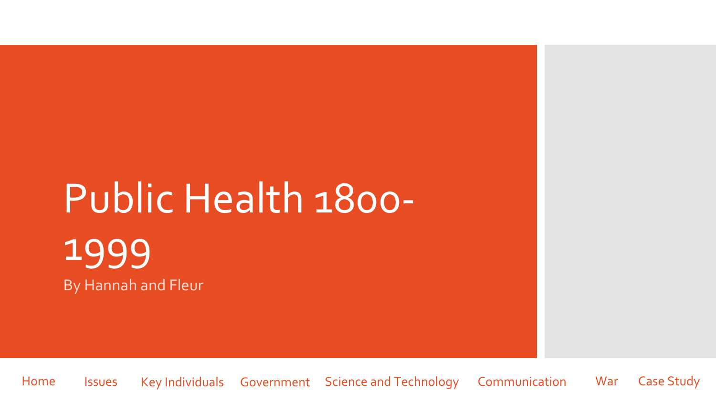## <span id="page-0-0"></span>Public Health 1800- 1999 By Hannah and Fleur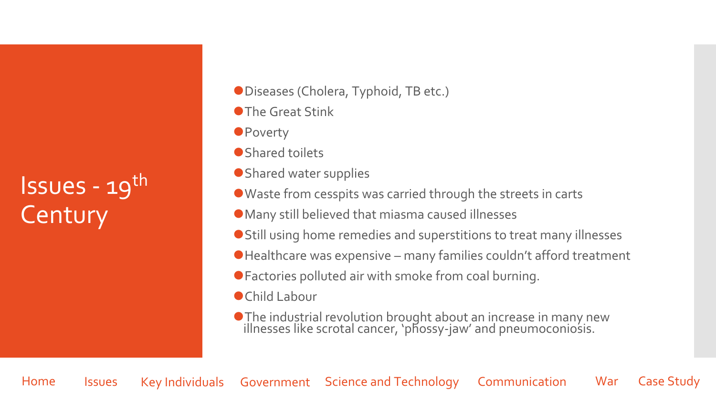## <span id="page-1-0"></span> $Issues - 19<sup>th</sup>$ **Century**

- Diseases (Cholera, Typhoid, TB etc.)
- ⚫The Great Stink
- Poverty
- ⚫Shared toilets
- ⚫Shared water supplies
- ⚫Waste from cesspits was carried through the streets in carts
- ⚫Many still believed that miasma caused illnesses
- Still using home remedies and superstitions to treat many illnesses
- Healthcare was expensive many families couldn't afford treatment
- ⚫Factories polluted air with smoke from coal burning.
- ⚫Child Labour
- ⚫The industrial revolution brought about an increase in many new illnesses like scrotal cancer, 'phossy-jaw' and pneumoconiosis.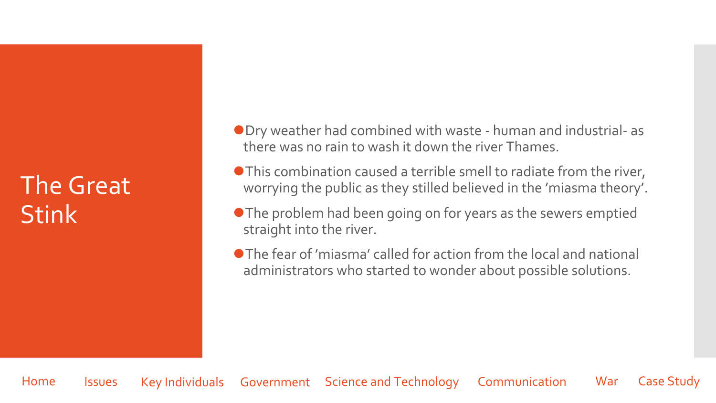## The Great **Stink**

- ⚫Dry weather had combined with waste human and industrial- as there was no rain to wash it down the river Thames.
- This combination caused a terrible smell to radiate from the river, worrying the public as they stilled believed in the 'miasma theory'.
- ⚫The problem had been going on for years as the sewers emptied straight into the river.
- ⚫The fear of 'miasma' called for action from the local and national administrators who started to wonder about possible solutions.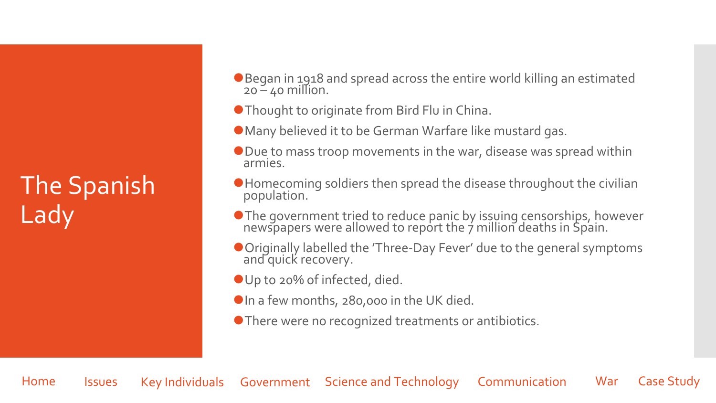## The Spanish **Lady**

- ●Began in 1918 and spread across the entire world killing an estimated  $20 - 40$  million.
- ⚫Thought to originate from Bird Flu in China.
- ⚫Many believed it to be German Warfare like mustard gas.
- Due to mass troop movements in the war, disease was spread within armies.
- ⚫Homecoming soldiers then spread the disease throughout the civilian population.
- ⚫The government tried to reduce panic by issuing censorships, however newspapers were allowed to report the  $\acute{\tau}$  million deaths in Spain.
- ⚫Originally labelled the 'Three-Day Fever' due to the general symptoms and quick recovery.
- Up to 20% of infected, died.
- ●In a few months, 280,000 in the UK died.
- ⚫There were no recognized treatments or antibiotics.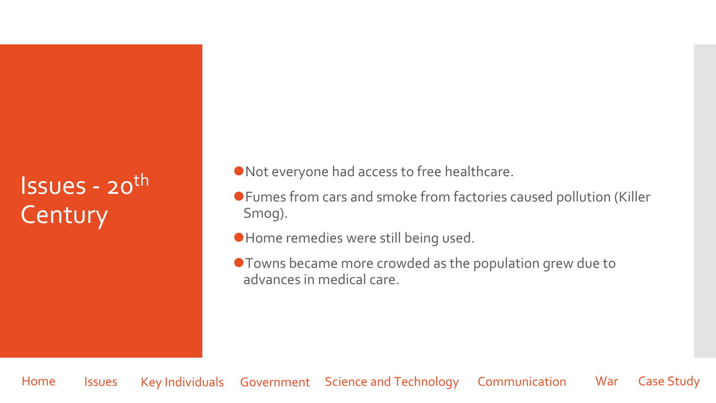## Issues - 20th **Century**

⚫Not everyone had access to free healthcare.

- ⚫Fumes from cars and smoke from factories caused pollution (Killer Smog).
- ⚫Home remedies were still being used.
- ⚫Towns became more crowded as the population grew due to advances in medical care.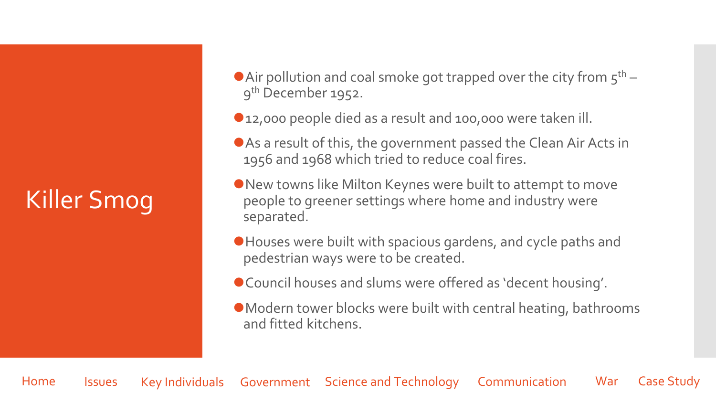## Killer Smog

- Air pollution and coal smoke got trapped over the city from  $5<sup>th</sup>$  9 th December 1952.
- ⚫12,000 people died as a result and 100,000 were taken ill.
- As a result of this, the government passed the Clean Air Acts in 1956 and 1968 which tried to reduce coal fires.
- New towns like Milton Keynes were built to attempt to move people to greener settings where home and industry were separated.
- ⚫Houses were built with spacious gardens, and cycle paths and pedestrian ways were to be created.
- ⚫Council houses and slums were offered as 'decent housing'.
- ⚫Modern tower blocks were built with central heating, bathrooms and fitted kitchens.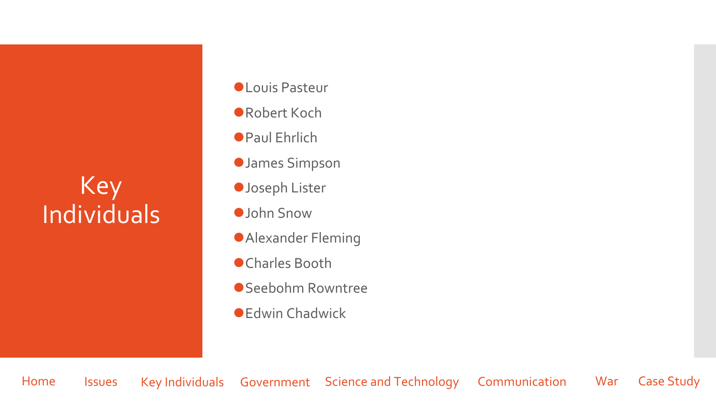## <span id="page-6-0"></span>Key Individuals

- ⚫Louis Pasteur
- ⚫Robert Koch
- ⚫Paul Ehrlich
- ⚫James Simpson
- ⚫Joseph Lister
- ⚫John Snow
- ⚫Alexander Fleming
- ⚫Charles Booth
- ⚫Seebohm Rowntree
- Edwin Chadwick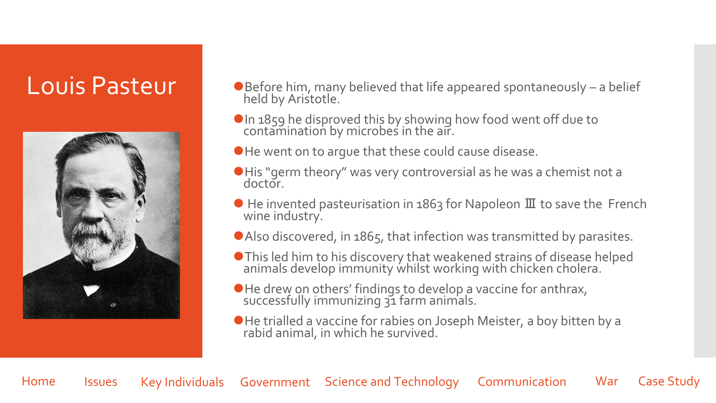

- Louis Pasteur • Before him, many believed that life appeared spontaneously a belief held by Aristotle.
	- ⚫In 1859 he disproved this by showing how food went off due to contamination by microbes in the air.
	- ⚫He went on to argue that these could cause disease.
	- ⚫His "germ theory" was very controversial as he was a chemist not a doctor.
	- $\bullet$  He invented pasteurisation in 1863 for Napoleon  $\mathbb{II}$  to save the French wine industry.
	- ⚫Also discovered, in 1865, that infection was transmitted by parasites.
	- ⚫This led him to his discovery that weakened strains of disease helped animals develop immunity whilst working with chicken cholera.
	- ⚫He drew on others' findings to develop a vaccine for anthrax, successfully immunizing 31 farm animals.
	- ⚫He trialled a vaccine for rabies on Joseph Meister, a boy bitten by a rabid animal, in which he survived.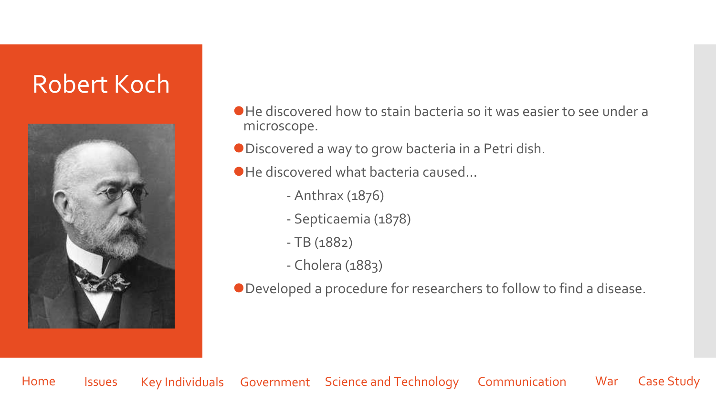## Robert Koch



⚫He discovered how to stain bacteria so it was easier to see under a microscope.

⚫Discovered a way to grow bacteria in a Petri dish.

● He discovered what bacteria caused...

- Anthrax (1876)
- Septicaemia (1878)
- TB (1882)
- Cholera (1883)

⚫Developed a procedure for researchers to follow to find a disease.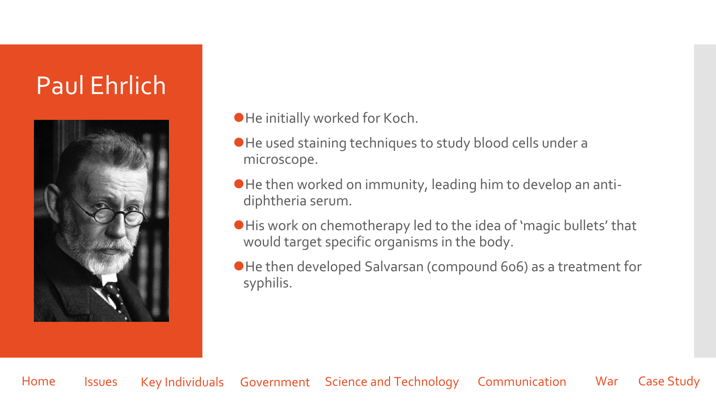## Paul Ehrlich



### ⚫He initially worked for Koch.

- ⚫He used staining techniques to study blood cells under a microscope.
- ⚫He then worked on immunity, leading him to develop an antidiphtheria serum.
- ⚫His work on chemotherapy led to the idea of 'magic bullets' that would target specific organisms in the body.
- ⚫He then developed Salvarsan (compound 606) as a treatment for syphilis.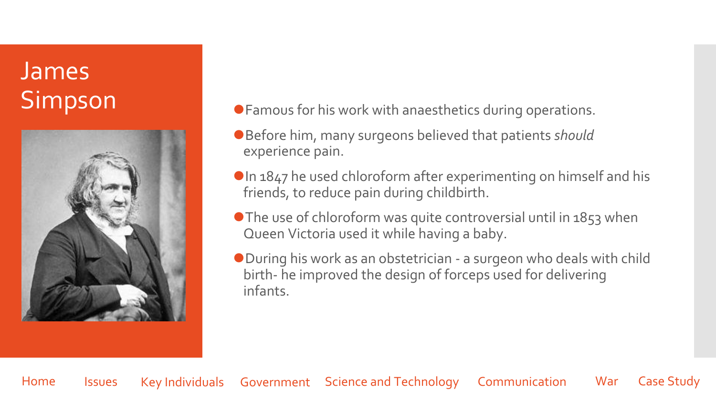# James



- Simpson **Simpson Defamous for his work with anaesthetics during operations.** 
	- ⚫Before him, many surgeons believed that patients *should* experience pain.
	- ●In 1847 he used chloroform after experimenting on himself and his friends, to reduce pain during childbirth.
	- The use of chloroform was quite controversial until in 1853 when Queen Victoria used it while having a baby.
	- ⚫During his work as an obstetrician a surgeon who deals with child birth- he improved the design of forceps used for delivering infants.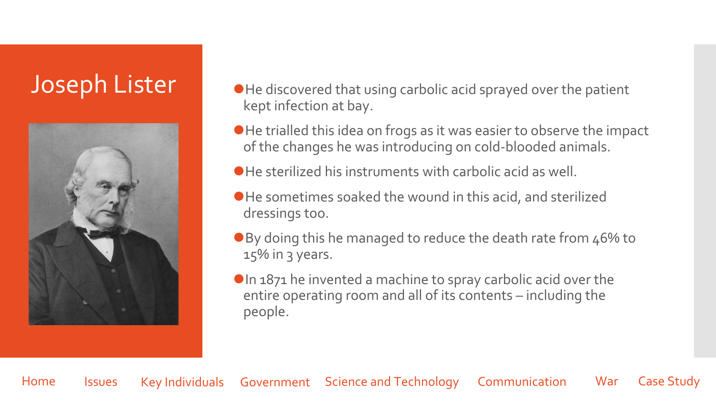

- Joseph Lister  $\blacksquare$   $\blacksquare$  He discovered that using carbolic acid sprayed over the patient kept infection at bay.
	- ⚫He trialled this idea on frogs as it was easier to observe the impact of the changes he was introducing on cold-blooded animals.
	- ⚫He sterilized his instruments with carbolic acid as well.
	- ⚫He sometimes soaked the wound in this acid, and sterilized dressings too.
	- ●By doing this he managed to reduce the death rate from 46% to 15% in 3 years.
	- ⚫In 1871 he invented a machine to spray carbolic acid over the entire operating room and all of its contents – including the people.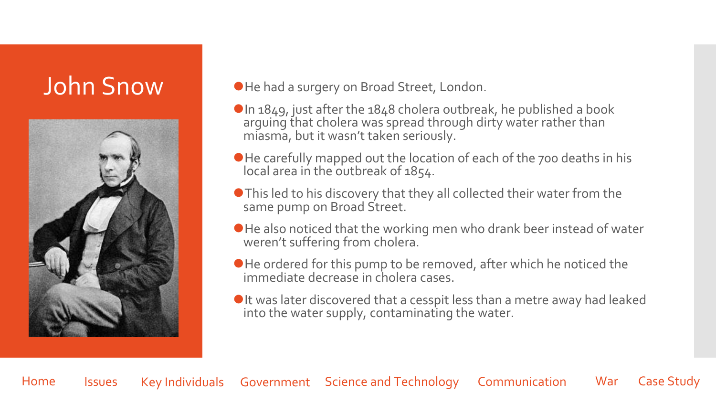

### John Snow **Dele had a surgery on Broad Street, London.**

- $\bigcirc$ In 1849, just after the 1848 cholera outbreak, he published a book arguing that cholera was spread through dirty water rather than miasma, but it wasn't taken seriously.
- ⚫He carefully mapped out the location of each of the 700 deaths in his local area in the outbreak of 1854.
- ⚫This led to his discovery that they all collected their water from the same pump on Broad Street.
- ⚫He also noticed that the working men who drank beer instead of water weren't suffering from cholera.
- ⚫He ordered for this pump to be removed, after which he noticed the immediate decrease in cholera cases.
- ●It was later discovered that a cesspit less than a metre away had leaked into the water supply, contaminating the water.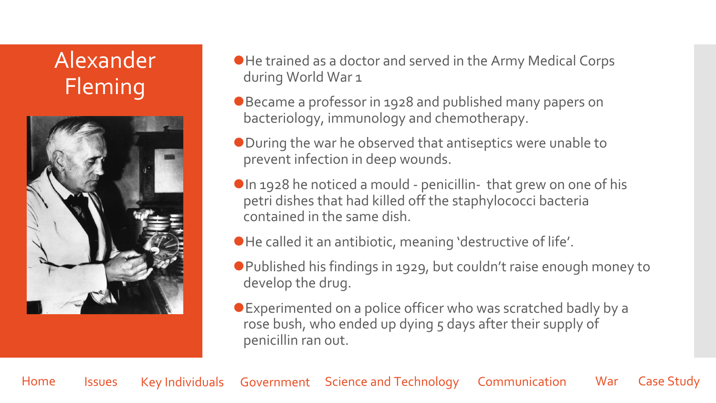## Alexander Fleming



- ⚫He trained as a doctor and served in the Army Medical Corps during World War 1
- ⚫Became a professor in 1928 and published many papers on bacteriology, immunology and chemotherapy.
- ⚫During the war he observed that antiseptics were unable to prevent infection in deep wounds.
- ⚫In 1928 he noticed a mould penicillin- that grew on one of his petri dishes that had killed off the staphylococci bacteria contained in the same dish.
- ⚫He called it an antibiotic, meaning 'destructive of life'.
- ⚫Published his findings in 1929, but couldn't raise enough money to develop the drug.
- ⚫Experimented on a police officer who was scratched badly by a rose bush, who ended up dying 5 days after their supply of penicillin ran out.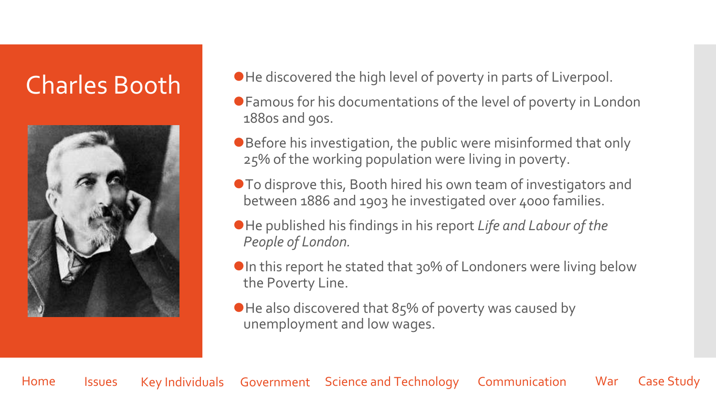

- Charles Booth <sup>OHe discovered the high level of poverty in parts of Liverpool.</sup>
	- ⚫Famous for his documentations of the level of poverty in London 1880s and 90s.
	- Before his investigation, the public were misinformed that only 25% of the working population were living in poverty.
	- To disprove this, Booth hired his own team of investigators and between 1886 and 1903 he investigated over 4000 families.
	- ⚫He published his findings in his report *Life and Labour of the People of London.*
	- ●In this report he stated that 30% of Londoners were living below the Poverty Line.
	- He also discovered that 85% of poverty was caused by unemployment and low wages.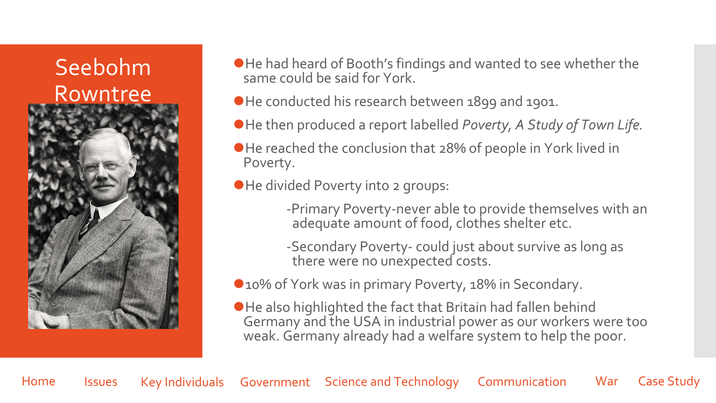## Seebohm Rowntree



- ⚫He had heard of Booth's findings and wanted to see whether the same could be said for York.
- ⚫He conducted his research between 1899 and 1901.
- ⚫He then produced a report labelled *Poverty, A Study of Town Life.*
- ●He reached the conclusion that 28% of people in York lived in Poverty.
- ⚫He divided Poverty into 2 groups:
	- -Primary Poverty-never able to provide themselves with an adequate amount of food, clothes shelter etc.
	- -Secondary Poverty- could just about survive as long as there were no unexpected costs.
- 10% of York was in primary Poverty, 18% in Secondary.
- ⚫He also highlighted the fact that Britain had fallen behind Germany and the USA in industrial power as our workers were too weak. Germany already had a welfare system to help the poor.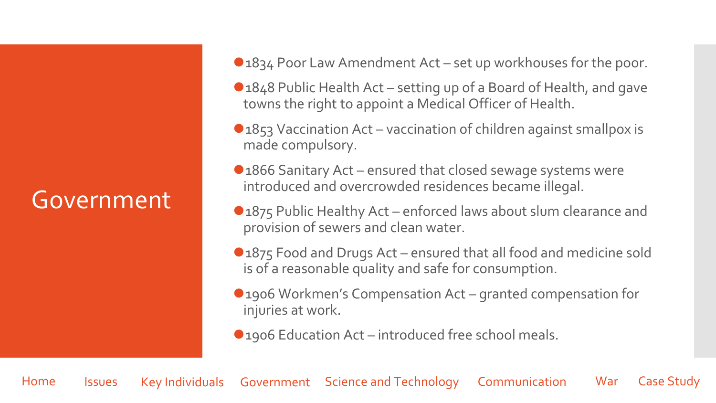## <span id="page-16-0"></span>Government

- ●1834 Poor Law Amendment Act set up workhouses for the poor.
- ●1848 Public Health Act setting up of a Board of Health, and gave towns the right to appoint a Medical Officer of Health.
- ⚫1853 Vaccination Act vaccination of children against smallpox is made compulsory.
- ●1866 Sanitary Act ensured that closed sewage systems were introduced and overcrowded residences became illegal.
- ●1875 Public Healthy Act enforced laws about slum clearance and provision of sewers and clean water.
- ●1875 Food and Drugs Act ensured that all food and medicine sold is of a reasonable quality and safe for consumption.
- 1906 Workmen's Compensation Act granted compensation for injuries at work.
- 1906 Education Act introduced free school meals.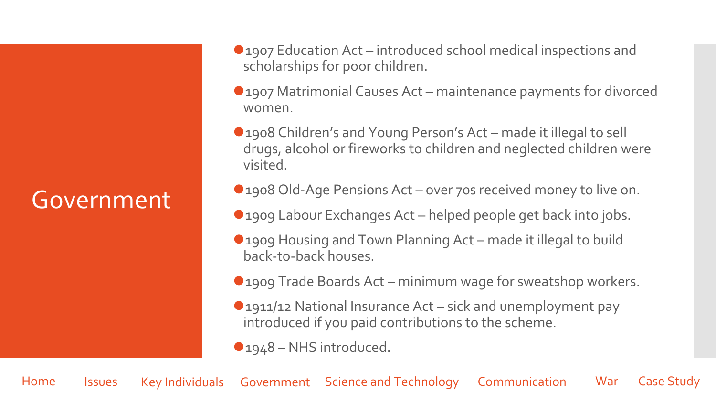## Government

- ●1907 Education Act introduced school medical inspections and scholarships for poor children.
- ●1907 Matrimonial Causes Act maintenance payments for divorced women.
- 1908 Children's and Young Person's Act made it illegal to sell drugs, alcohol or fireworks to children and neglected children were visited.
- 1908 Old-Age Pensions Act over 70s received money to live on.
- 1909 Labour Exchanges Act helped people get back into jobs.
- ⚫1909 Housing and Town Planning Act made it illegal to build back-to-back houses.
- 1909 Trade Boards Act minimum wage for sweatshop workers.
- ●1911/12 National Insurance Act sick and unemployment pay introduced if you paid contributions to the scheme.
- ●1948 NHS introduced.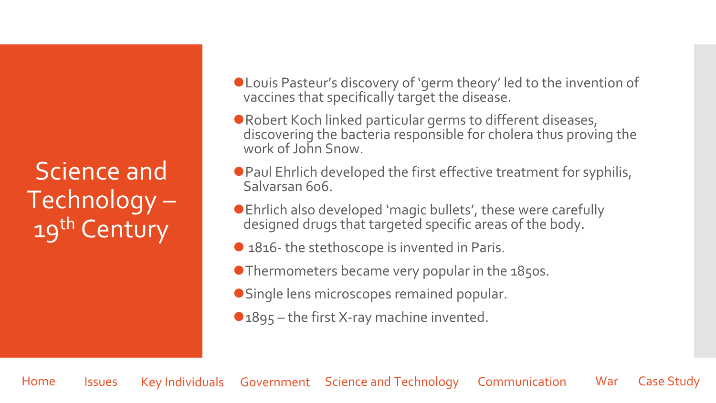<span id="page-18-0"></span>Science and Technology – 19<sup>th</sup> Century

- ⚫Louis Pasteur's discovery of 'germ theory' led to the invention of vaccines that specifically target the disease.
- Robert Koch linked particular germs to different diseases, discovering the bacteria responsible for cholera thus proving the work of John Snow.
- Paul Ehrlich developed the first effective treatment for syphilis, Salvarsan 606.
- ⚫Ehrlich also developed 'magic bullets', these were carefully designed drugs that targeted specific areas of the body.
- 1816- the stethoscope is invented in Paris.
- ⚫Thermometers became very popular in the 1850s.
- ⚫Single lens microscopes remained popular.
- ●1895 the first X-ray machine invented.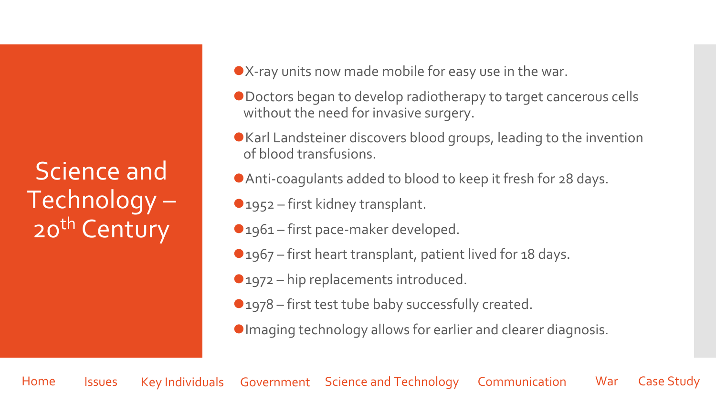Science and Technology – 20<sup>th</sup> Century

- ⚫X-ray units now made mobile for easy use in the war.
- ⚫Doctors began to develop radiotherapy to target cancerous cells without the need for invasive surgery.
- ⚫Karl Landsteiner discovers blood groups, leading to the invention of blood transfusions.
- ⚫Anti-coagulants added to blood to keep it fresh for 28 days.
- ●1952 first kidney transplant.
- 1961 first pace-maker developed.
- 1967 first heart transplant, patient lived for 18 days.
- ●1972 hip replacements introduced.
- 1978 first test tube baby successfully created.
- ⚫Imaging technology allows for earlier and clearer diagnosis.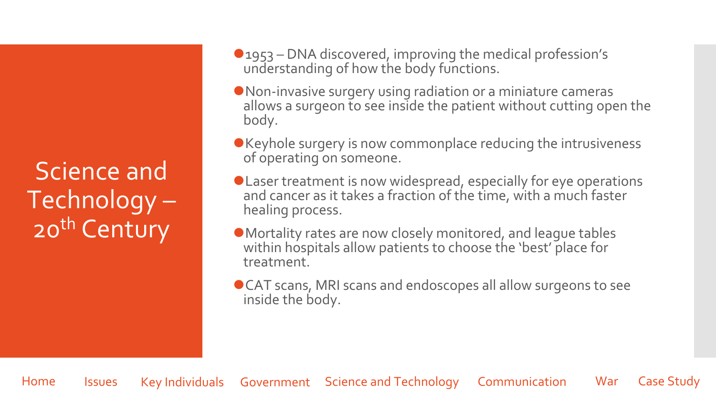Science and Technology – 20<sup>th</sup> Century

- ⚫1953 DNA discovered, improving the medical profession's understanding of how the body functions.
- ⚫Non-invasive surgery using radiation or a miniature cameras allows a surgeon to see inside the patient without cutting open the body.
- ⚫Keyhole surgery is now commonplace reducing the intrusiveness of operating on someone.
- ⚫Laser treatment is now widespread, especially for eye operations and cancer as it takes a fraction of the time, with a much faster healing process.
- ⚫Mortality rates are now closely monitored, and league tables within hospitals allow patients to choose the 'best' place for treatment.
- ⚫CAT scans, MRI scans and endoscopes all allow surgeons to see inside the body.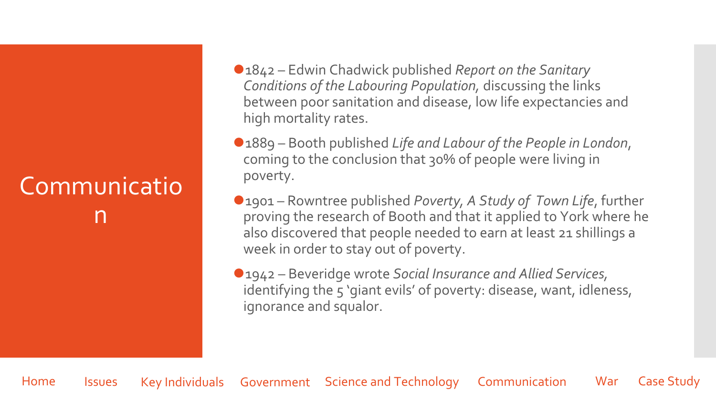## <span id="page-21-0"></span>**Communicatio** n

- ⚫1842 Edwin Chadwick published *Report on the Sanitary Conditions of the Labouring Population,* discussing the links between poor sanitation and disease, low life expectancies and high mortality rates.
- ⚫1889 Booth published *Life and Labour of the People in London*, coming to the conclusion that 30% of people were living in poverty.
- ⚫1901 Rowntree published *Poverty, A Study of Town Life*, further proving the research of Booth and that it applied to York where he also discovered that people needed to earn at least 21 shillings a week in order to stay out of poverty.
- ⚫1942 Beveridge wrote *Social Insurance and Allied Services,*  identifying the 5 'giant evils' of poverty: disease, want, idleness, ignorance and squalor.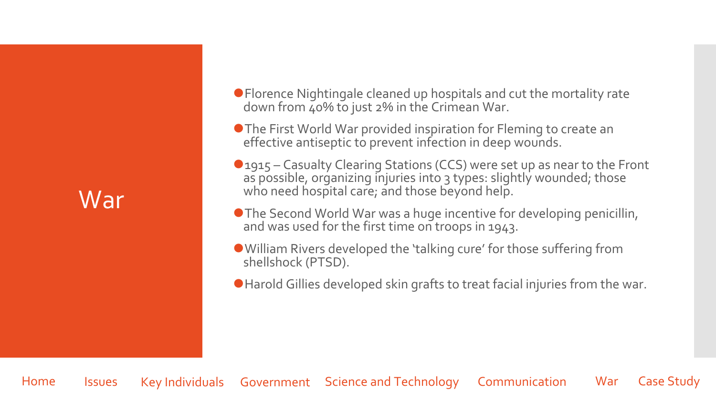## <span id="page-22-0"></span>War

⚫Florence Nightingale cleaned up hospitals and cut the mortality rate down from 40% to just 2% in the Crimean War.

● The First World War provided inspiration for Fleming to create an effective antiseptic to prevent infection in deep wounds.

**O** 1915 – Casualty Clearing Stations (CCS) were set up as near to the Front as possible, organizing injuries into 3 types: slightly wounded; those who need hospital care; and those beyond help.

● The Second World War was a huge incentive for developing penicillin, and was used for the first time on troops in 1943.

⚫William Rivers developed the 'talking cure' for those suffering from shellshock (PTSD).

⚫Harold Gillies developed skin grafts to treat facial injuries from the war.